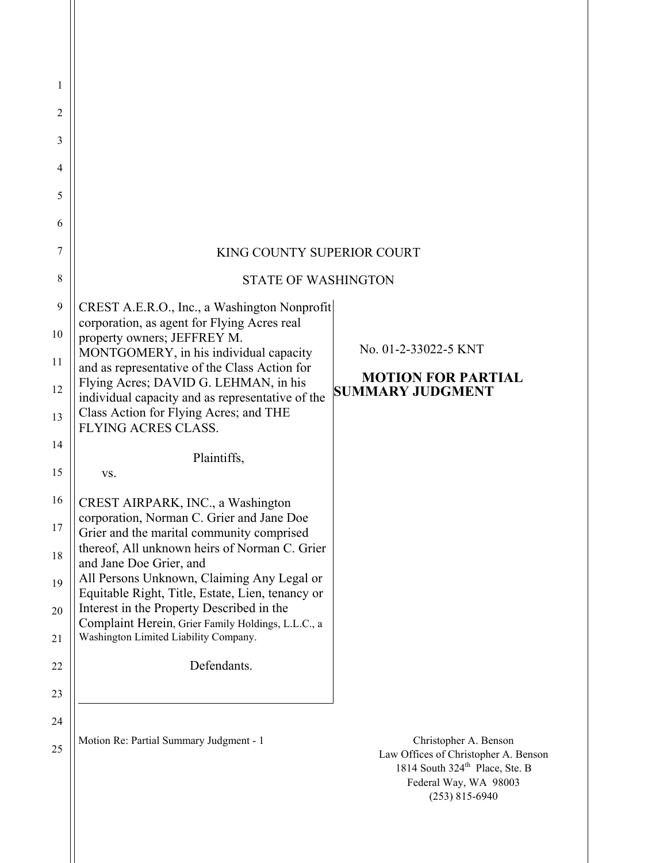| 1  |                                                                                                 |                                                                                                                                 |
|----|-------------------------------------------------------------------------------------------------|---------------------------------------------------------------------------------------------------------------------------------|
| 2  |                                                                                                 |                                                                                                                                 |
| 3  |                                                                                                 |                                                                                                                                 |
| 4  |                                                                                                 |                                                                                                                                 |
| 5  |                                                                                                 |                                                                                                                                 |
| 6  |                                                                                                 |                                                                                                                                 |
| 7  | KING COUNTY SUPERIOR COURT                                                                      |                                                                                                                                 |
| 8  | <b>STATE OF WASHINGTON</b>                                                                      |                                                                                                                                 |
| 9  | CREST A.E.R.O., Inc., a Washington Nonprofit<br>corporation, as agent for Flying Acres real     |                                                                                                                                 |
| 10 | property owners; JEFFREY M.                                                                     | No. 01-2-33022-5 KNT                                                                                                            |
| 11 | MONTGOMERY, in his individual capacity<br>and as representative of the Class Action for         | <b>MOTION FOR PARTIAL</b>                                                                                                       |
| 12 | Flying Acres; DAVID G. LEHMAN, in his<br>individual capacity and as representative of the       | <b>SUMMARY JUDGMENT</b>                                                                                                         |
| 13 | Class Action for Flying Acres; and THE<br><b>FLYING ACRES CLASS.</b>                            |                                                                                                                                 |
| 14 | Plaintiffs,                                                                                     |                                                                                                                                 |
| 15 | VS.                                                                                             |                                                                                                                                 |
| 16 | CREST AIRPARK, INC., a Washington<br>corporation, Norman C. Grier and Jane Doe                  |                                                                                                                                 |
| 17 | Grier and the marital community comprised                                                       |                                                                                                                                 |
| 18 | thereof, All unknown heirs of Norman C. Grier<br>and Jane Doe Grier, and                        |                                                                                                                                 |
| 19 | All Persons Unknown, Claiming Any Legal or<br>Equitable Right, Title, Estate, Lien, tenancy or  |                                                                                                                                 |
| 20 | Interest in the Property Described in the<br>Complaint Herein, Grier Family Holdings, L.L.C., a |                                                                                                                                 |
| 21 | Washington Limited Liability Company.                                                           |                                                                                                                                 |
| 22 | Defendants.                                                                                     |                                                                                                                                 |
| 23 |                                                                                                 |                                                                                                                                 |
| 24 | Motion Re: Partial Summary Judgment - 1                                                         | Christopher A. Benson                                                                                                           |
| 25 |                                                                                                 | Law Offices of Christopher A. Benson<br>1814 South 324 <sup>th</sup> Place, Ste. B<br>Federal Way, WA 98003<br>$(253)$ 815-6940 |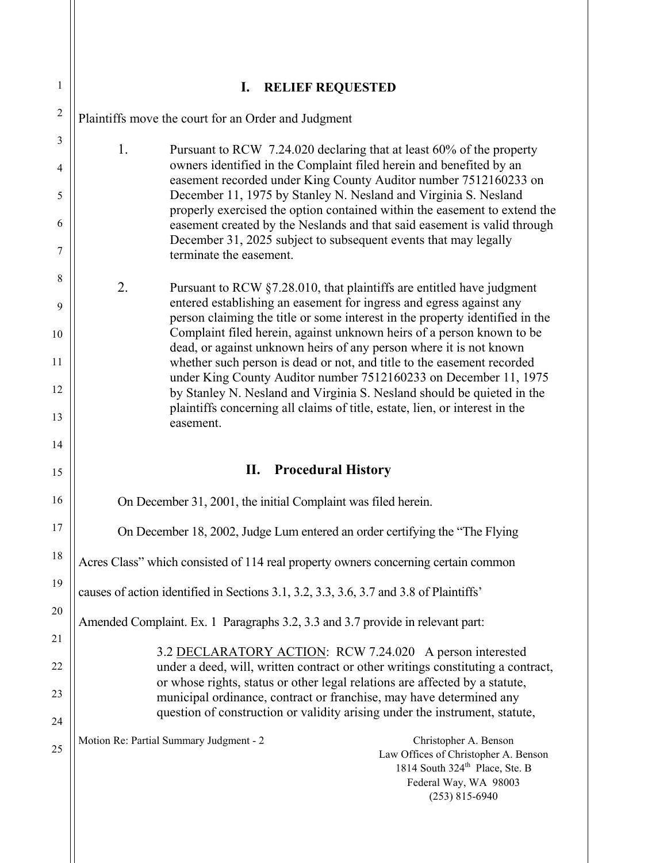| $\mathbf{1}$   | I.<br><b>RELIEF REQUESTED</b>                                                                                                                                                                                            |
|----------------|--------------------------------------------------------------------------------------------------------------------------------------------------------------------------------------------------------------------------|
| $\overline{2}$ | Plaintiffs move the court for an Order and Judgment                                                                                                                                                                      |
| $\mathfrak{Z}$ | 1.<br>Pursuant to RCW 7.24.020 declaring that at least 60% of the property                                                                                                                                               |
| $\overline{4}$ | owners identified in the Complaint filed herein and benefited by an<br>easement recorded under King County Auditor number 7512160233 on<br>December 11, 1975 by Stanley N. Nesland and Virginia S. Nesland               |
| 5<br>6         | properly exercised the option contained within the easement to extend the<br>easement created by the Neslands and that said easement is valid through<br>December 31, 2025 subject to subsequent events that may legally |
| 7              | terminate the easement.                                                                                                                                                                                                  |
| 8              | 2.<br>Pursuant to RCW §7.28.010, that plaintiffs are entitled have judgment                                                                                                                                              |
| 9              | entered establishing an easement for ingress and egress against any<br>person claiming the title or some interest in the property identified in the                                                                      |
| 10             | Complaint filed herein, against unknown heirs of a person known to be<br>dead, or against unknown heirs of any person where it is not known                                                                              |
| 11             | whether such person is dead or not, and title to the easement recorded<br>under King County Auditor number 7512160233 on December 11, 1975                                                                               |
| 12             | by Stanley N. Nesland and Virginia S. Nesland should be quieted in the<br>plaintiffs concerning all claims of title, estate, lien, or interest in the                                                                    |
| 13             | easement.                                                                                                                                                                                                                |
| 14             |                                                                                                                                                                                                                          |
| 15             | П.<br><b>Procedural History</b>                                                                                                                                                                                          |
| 16             | On December 31, 2001, the initial Complaint was filed herein.                                                                                                                                                            |
| 17             | On December 18, 2002, Judge Lum entered an order certifying the "The Flying"                                                                                                                                             |
| 18             | Acres Class" which consisted of 114 real property owners concerning certain common                                                                                                                                       |
| 19             | causes of action identified in Sections 3.1, 3.2, 3.3, 3.6, 3.7 and 3.8 of Plaintiffs'                                                                                                                                   |
| 20             | Amended Complaint. Ex. 1 Paragraphs 3.2, 3.3 and 3.7 provide in relevant part:                                                                                                                                           |
| 21             | 3.2 DECLARATORY ACTION: RCW 7.24.020 A person interested                                                                                                                                                                 |
| 22             | under a deed, will, written contract or other writings constituting a contract,<br>or whose rights, status or other legal relations are affected by a statute,                                                           |
| 23<br>24       | municipal ordinance, contract or franchise, may have determined any<br>question of construction or validity arising under the instrument, statute,                                                                       |
| 25             | Motion Re: Partial Summary Judgment - 2<br>Christopher A. Benson<br>Law Offices of Christopher A. Benson<br>1814 South 324 <sup>th</sup> Place, Ste. B<br>Federal Way, WA 98003<br>$(253)$ 815-6940                      |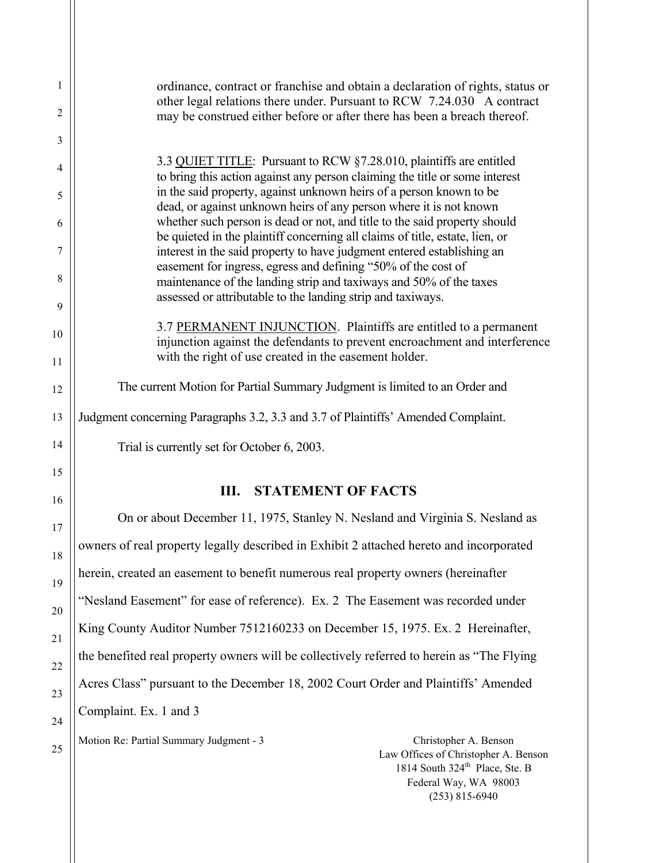| 1  | ordinance, contract or franchise and obtain a declaration of rights, status or<br>other legal relations there under. Pursuant to RCW 7.24.030 A contract  |
|----|-----------------------------------------------------------------------------------------------------------------------------------------------------------|
| 2  | may be construed either before or after there has been a breach thereof.                                                                                  |
| 3  |                                                                                                                                                           |
| 4  | 3.3 QUIET TITLE: Pursuant to RCW §7.28.010, plaintiffs are entitled<br>to bring this action against any person claiming the title or some interest        |
| 5  | in the said property, against unknown heirs of a person known to be<br>dead, or against unknown heirs of any person where it is not known                 |
| 6  | whether such person is dead or not, and title to the said property should<br>be quieted in the plaintiff concerning all claims of title, estate, lien, or |
| 7  | interest in the said property to have judgment entered establishing an<br>easement for ingress, egress and defining "50% of the cost of                   |
| 8  | maintenance of the landing strip and taxiways and 50% of the taxes<br>assessed or attributable to the landing strip and taxiways.                         |
| 9  |                                                                                                                                                           |
| 10 | 3.7 PERMANENT INJUNCTION. Plaintiffs are entitled to a permanent<br>injunction against the defendants to prevent encroachment and interference            |
| 11 | with the right of use created in the easement holder.                                                                                                     |
| 12 | The current Motion for Partial Summary Judgment is limited to an Order and                                                                                |
| 13 | Judgment concerning Paragraphs 3.2, 3.3 and 3.7 of Plaintiffs' Amended Complaint.                                                                         |
| 14 | Trial is currently set for October 6, 2003.                                                                                                               |
| 15 |                                                                                                                                                           |
| 16 | <b>III. STATEMENT OF FACTS</b>                                                                                                                            |
| 17 | On or about December 11, 1975, Stanley N. Nesland and Virginia S. Nesland as                                                                              |
| 18 | owners of real property legally described in Exhibit 2 attached hereto and incorporated                                                                   |
| 19 | herein, created an easement to benefit numerous real property owners (hereinafter                                                                         |
| 20 | "Nesland Easement" for ease of reference). Ex. 2 The Easement was recorded under                                                                          |
| 21 | King County Auditor Number 7512160233 on December 15, 1975. Ex. 2 Hereinafter,                                                                            |
| 22 | the benefited real property owners will be collectively referred to herein as "The Flying"                                                                |
| 23 | Acres Class" pursuant to the December 18, 2002 Court Order and Plaintiffs' Amended                                                                        |
| 24 | Complaint. Ex. 1 and 3                                                                                                                                    |
| 25 | Motion Re: Partial Summary Judgment - 3<br>Christopher A. Benson<br>Law Offices of Christopher A. Benson                                                  |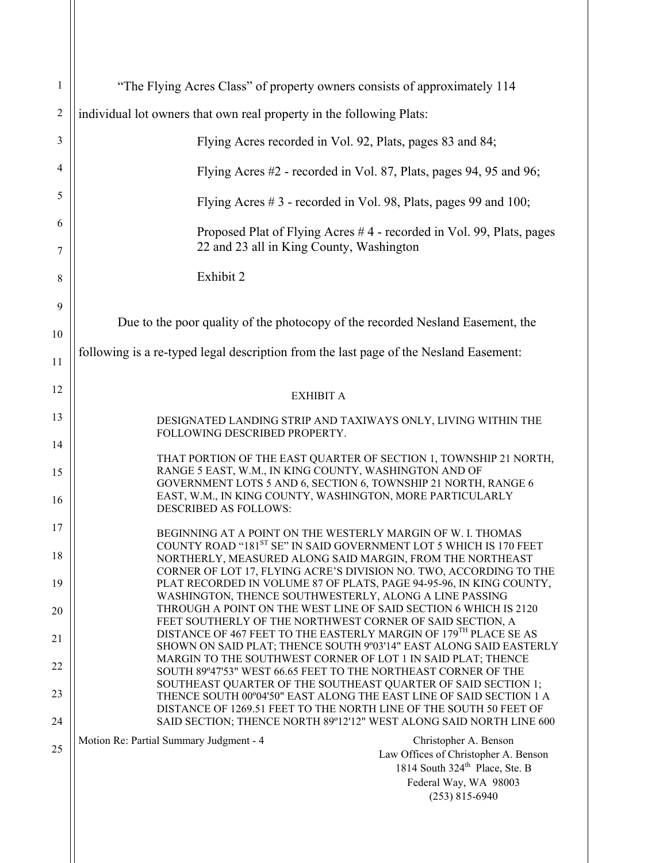| $\mathbf{1}$   | "The Flying Acres Class" of property owners consists of approximately 114                                                                                                                                          |
|----------------|--------------------------------------------------------------------------------------------------------------------------------------------------------------------------------------------------------------------|
| $\overline{c}$ | individual lot owners that own real property in the following Plats:                                                                                                                                               |
| 3              | Flying Acres recorded in Vol. 92, Plats, pages 83 and 84;                                                                                                                                                          |
| 4              | Flying Acres #2 - recorded in Vol. 87, Plats, pages 94, 95 and 96;                                                                                                                                                 |
| 5              | Flying Acres #3 - recorded in Vol. 98, Plats, pages 99 and 100;                                                                                                                                                    |
| 6              | Proposed Plat of Flying Acres #4 - recorded in Vol. 99, Plats, pages                                                                                                                                               |
| 7              | 22 and 23 all in King County, Washington                                                                                                                                                                           |
| 8              | Exhibit 2                                                                                                                                                                                                          |
| 9              | Due to the poor quality of the photocopy of the recorded Nesland Easement, the                                                                                                                                     |
| 10             |                                                                                                                                                                                                                    |
| 11             | following is a re-typed legal description from the last page of the Nesland Easement:                                                                                                                              |
| 12             | <b>EXHIBIT A</b>                                                                                                                                                                                                   |
| 13             | DESIGNATED LANDING STRIP AND TAXIWAYS ONLY, LIVING WITHIN THE<br>FOLLOWING DESCRIBED PROPERTY.                                                                                                                     |
| 14             | THAT PORTION OF THE EAST QUARTER OF SECTION 1, TOWNSHIP 21 NORTH,                                                                                                                                                  |
| 15             | RANGE 5 EAST, W.M., IN KING COUNTY, WASHINGTON AND OF<br>GOVERNMENT LOTS 5 AND 6, SECTION 6, TOWNSHIP 21 NORTH, RANGE 6                                                                                            |
| 16             | EAST, W.M., IN KING COUNTY, WASHINGTON, MORE PARTICULARLY<br>DESCRIBED AS FOLLOWS:                                                                                                                                 |
| 17             | BEGINNING AT A POINT ON THE WESTERLY MARGIN OF W. I. THOMAS<br>COUNTY ROAD "181ST SE" IN SAID GOVERNMENT LOT 5 WHICH IS 170 FEET                                                                                   |
| 18             | NORTHERLY, MEASURED ALONG SAID MARGIN, FROM THE NORTHEAST<br>CORNER OF LOT 17, FLYING ACRE'S DIVISION NO. TWO, ACCORDING TO THE                                                                                    |
| 19             | PLAT RECORDED IN VOLUME 87 OF PLATS, PAGE 94-95-96, IN KING COUNTY,<br>WASHINGTON, THENCE SOUTHWESTERLY, ALONG A LINE PASSING                                                                                      |
| 20             | THROUGH A POINT ON THE WEST LINE OF SAID SECTION 6 WHICH IS 2120<br>FEET SOUTHERLY OF THE NORTHWEST CORNER OF SAID SECTION, A                                                                                      |
| 21             | DISTANCE OF 467 FEET TO THE EASTERLY MARGIN OF 179 <sup>TH</sup> PLACE SE AS<br>SHOWN ON SAID PLAT; THENCE SOUTH 9°03'14" EAST ALONG SAID EASTERLY<br>MARGIN TO THE SOUTHWEST CORNER OF LOT 1 IN SAID PLAT; THENCE |
| 22             | SOUTH 89°47'53" WEST 66.65 FEET TO THE NORTHEAST CORNER OF THE<br>SOUTHEAST QUARTER OF THE SOUTHEAST QUARTER OF SAID SECTION 1;                                                                                    |
| 23             | THENCE SOUTH 00°04'50" EAST ALONG THE EAST LINE OF SAID SECTION 1 A<br>DISTANCE OF 1269.51 FEET TO THE NORTH LINE OF THE SOUTH 50 FEET OF                                                                          |
| 24             | SAID SECTION; THENCE NORTH 89°12'12" WEST ALONG SAID NORTH LINE 600<br>Motion Re: Partial Summary Judgment - 4<br>Christopher A. Benson                                                                            |
| 25             | Law Offices of Christopher A. Benson<br>1814 South 324 <sup>th</sup> Place, Ste. B                                                                                                                                 |
|                | Federal Way, WA 98003                                                                                                                                                                                              |
|                | $(253)$ 815-6940                                                                                                                                                                                                   |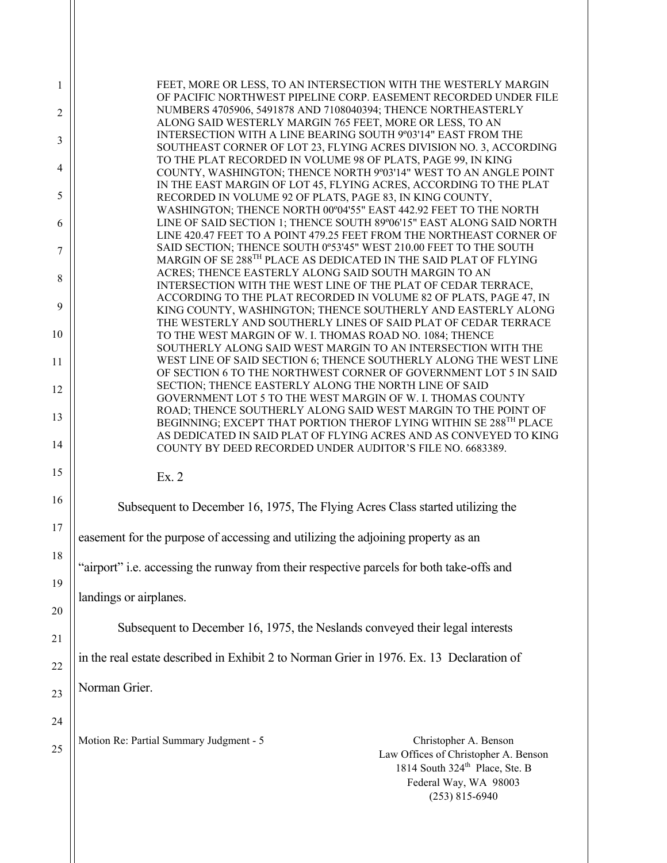| 1        | FEET, MORE OR LESS, TO AN INTERSECTION WITH THE WESTERLY MARGIN<br>OF PACIFIC NORTHWEST PIPELINE CORP. EASEMENT RECORDED UNDER FILE                                                                                       |
|----------|---------------------------------------------------------------------------------------------------------------------------------------------------------------------------------------------------------------------------|
| 2        | NUMBERS 4705906, 5491878 AND 7108040394; THENCE NORTHEASTERLY<br>ALONG SAID WESTERLY MARGIN 765 FEET, MORE OR LESS, TO AN                                                                                                 |
| 3        | INTERSECTION WITH A LINE BEARING SOUTH 9°03'14" EAST FROM THE<br>SOUTHEAST CORNER OF LOT 23, FLYING ACRES DIVISION NO. 3, ACCORDING                                                                                       |
| 4        | TO THE PLAT RECORDED IN VOLUME 98 OF PLATS, PAGE 99, IN KING<br>COUNTY, WASHINGTON; THENCE NORTH 9°03'14" WEST TO AN ANGLE POINT<br>IN THE EAST MARGIN OF LOT 45, FLYING ACRES, ACCORDING TO THE PLAT                     |
| 5        | RECORDED IN VOLUME 92 OF PLATS, PAGE 83, IN KING COUNTY,                                                                                                                                                                  |
| 6        | WASHINGTON; THENCE NORTH 00°04'55" EAST 442.92 FEET TO THE NORTH<br>LINE OF SAID SECTION 1; THENCE SOUTH 89°06'15" EAST ALONG SAID NORTH                                                                                  |
| 7        | LINE 420.47 FEET TO A POINT 479.25 FEET FROM THE NORTHEAST CORNER OF<br>SAID SECTION; THENCE SOUTH 0°53'45" WEST 210.00 FEET TO THE SOUTH<br>MARGIN OF SE 288 <sup>TH</sup> PLACE AS DEDICATED IN THE SAID PLAT OF FLYING |
| 8        | ACRES; THENCE EASTERLY ALONG SAID SOUTH MARGIN TO AN<br>INTERSECTION WITH THE WEST LINE OF THE PLAT OF CEDAR TERRACE,                                                                                                     |
| 9        | ACCORDING TO THE PLAT RECORDED IN VOLUME 82 OF PLATS, PAGE 47, IN<br>KING COUNTY, WASHINGTON; THENCE SOUTHERLY AND EASTERLY ALONG                                                                                         |
| 10       | THE WESTERLY AND SOUTHERLY LINES OF SAID PLAT OF CEDAR TERRACE<br>TO THE WEST MARGIN OF W. I. THOMAS ROAD NO. 1084; THENCE                                                                                                |
| 11       | SOUTHERLY ALONG SAID WEST MARGIN TO AN INTERSECTION WITH THE<br>WEST LINE OF SAID SECTION 6; THENCE SOUTHERLY ALONG THE WEST LINE<br>OF SECTION 6 TO THE NORTHWEST CORNER OF GOVERNMENT LOT 5 IN SAID                     |
| 12       | SECTION; THENCE EASTERLY ALONG THE NORTH LINE OF SAID<br>GOVERNMENT LOT 5 TO THE WEST MARGIN OF W. I. THOMAS COUNTY                                                                                                       |
| 13       | ROAD; THENCE SOUTHERLY ALONG SAID WEST MARGIN TO THE POINT OF                                                                                                                                                             |
| 14       | BEGINNING; EXCEPT THAT PORTION THEROF LYING WITHIN SE 288 <sup>TH</sup> PLACE<br>AS DEDICATED IN SAID PLAT OF FLYING ACRES AND AS CONVEYED TO KING                                                                        |
| 15       | COUNTY BY DEED RECORDED UNDER AUDITOR'S FILE NO. 6683389.                                                                                                                                                                 |
|          | Ex. 2                                                                                                                                                                                                                     |
| 16       | Subsequent to December 16, 1975, The Flying Acres Class started utilizing the                                                                                                                                             |
| 17       | easement for the purpose of accessing and utilizing the adjoining property as an                                                                                                                                          |
| 18<br>19 | "airport" i.e. accessing the runway from their respective parcels for both take-offs and                                                                                                                                  |
| 20       | landings or airplanes.                                                                                                                                                                                                    |
| 21       | Subsequent to December 16, 1975, the Neslands conveyed their legal interests                                                                                                                                              |
| 22       | in the real estate described in Exhibit 2 to Norman Grier in 1976. Ex. 13 Declaration of                                                                                                                                  |
| 23       | Norman Grier.                                                                                                                                                                                                             |
| 24       |                                                                                                                                                                                                                           |
| 25       | Motion Re: Partial Summary Judgment - 5<br>Christopher A. Benson<br>Law Offices of Christopher A. Benson<br>1814 South 324 <sup>th</sup> Place, Ste. B<br>Federal Way, WA 98003<br>$(253)$ 815-6940                       |
|          |                                                                                                                                                                                                                           |

 $\parallel$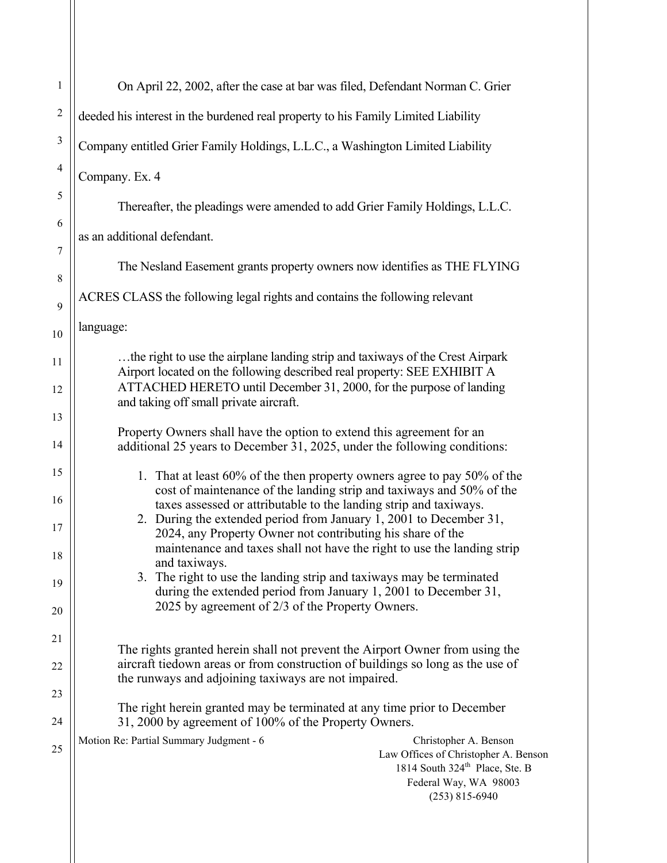| $\mathbf{1}$   | On April 22, 2002, after the case at bar was filed, Defendant Norman C. Grier                                                                                                                       |
|----------------|-----------------------------------------------------------------------------------------------------------------------------------------------------------------------------------------------------|
| $\overline{2}$ | deeded his interest in the burdened real property to his Family Limited Liability                                                                                                                   |
| $\mathfrak{Z}$ | Company entitled Grier Family Holdings, L.L.C., a Washington Limited Liability                                                                                                                      |
| 4              | Company. Ex. 4                                                                                                                                                                                      |
| 5              | Thereafter, the pleadings were amended to add Grier Family Holdings, L.L.C.                                                                                                                         |
| 6              | as an additional defendant.                                                                                                                                                                         |
| $\tau$         | The Nesland Easement grants property owners now identifies as THE FLYING                                                                                                                            |
| 8              | ACRES CLASS the following legal rights and contains the following relevant                                                                                                                          |
| 9              | language:                                                                                                                                                                                           |
| 10<br>11       | the right to use the airplane landing strip and taxiways of the Crest Airpark                                                                                                                       |
| 12             | Airport located on the following described real property: SEE EXHIBIT A<br>ATTACHED HERETO until December 31, 2000, for the purpose of landing                                                      |
| 13             | and taking off small private aircraft.                                                                                                                                                              |
| 14             | Property Owners shall have the option to extend this agreement for an<br>additional 25 years to December 31, 2025, under the following conditions:                                                  |
| 15             | 1. That at least 60% of the then property owners agree to pay 50% of the                                                                                                                            |
| 16             | cost of maintenance of the landing strip and taxiways and 50% of the<br>taxes assessed or attributable to the landing strip and taxiways.                                                           |
| 17             | 2. During the extended period from January 1, 2001 to December 31,<br>2024, any Property Owner not contributing his share of the                                                                    |
| 18             | maintenance and taxes shall not have the right to use the landing strip<br>and taxiways.                                                                                                            |
| 19             | The right to use the landing strip and taxiways may be terminated<br>3.<br>during the extended period from January 1, 2001 to December 31,                                                          |
| 20             | 2025 by agreement of 2/3 of the Property Owners.                                                                                                                                                    |
| 21             | The rights granted herein shall not prevent the Airport Owner from using the                                                                                                                        |
| 22             | aircraft tiedown areas or from construction of buildings so long as the use of<br>the runways and adjoining taxiways are not impaired.                                                              |
| 23<br>24       | The right herein granted may be terminated at any time prior to December<br>31, 2000 by agreement of 100% of the Property Owners.                                                                   |
| 25             | Motion Re: Partial Summary Judgment - 6<br>Christopher A. Benson<br>Law Offices of Christopher A. Benson<br>1814 South 324 <sup>th</sup> Place, Ste. B<br>Federal Way, WA 98003<br>$(253)$ 815-6940 |
|                |                                                                                                                                                                                                     |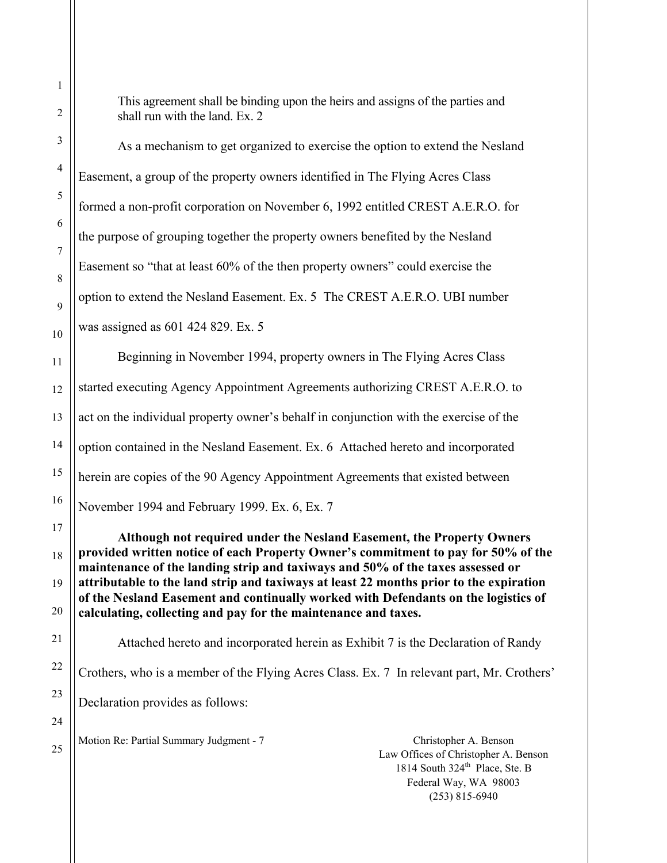This agreement shall be binding upon the heirs and assigns of the parties and shall run with the land. Ex. 2

 As a mechanism to get organized to exercise the option to extend the Nesland Easement, a group of the property owners identified in The Flying Acres Class formed a non-profit corporation on November 6, 1992 entitled CREST A.E.R.O. for the purpose of grouping together the property owners benefited by the Nesland Easement so "that at least 60% of the then property owners" could exercise the option to extend the Nesland Easement. Ex. 5 The CREST A.E.R.O. UBI number was assigned as 601 424 829. Ex. 5 Beginning in November 1994, property owners in The Flying Acres Class started executing Agency Appointment Agreements authorizing CREST A.E.R.O. to act on the individual property owner's behalf in conjunction with the exercise of the option contained in the Nesland Easement. Ex. 6 Attached hereto and incorporated herein are copies of the 90 Agency Appointment Agreements that existed between November 1994 and February 1999. Ex. 6, Ex. 7

**Although not required under the Nesland Easement, the Property Owners provided written notice of each Property Owner's commitment to pay for 50% of the maintenance of the landing strip and taxiways and 50% of the taxes assessed or attributable to the land strip and taxiways at least 22 months prior to the expiration of the Nesland Easement and continually worked with Defendants on the logistics of calculating, collecting and pay for the maintenance and taxes.** 

 Attached hereto and incorporated herein as Exhibit 7 is the Declaration of Randy Crothers, who is a member of the Flying Acres Class. Ex. 7 In relevant part, Mr. Crothers' Declaration provides as follows:

Motion Re: Partial Summary Judgment - 7 Christopher A. Benson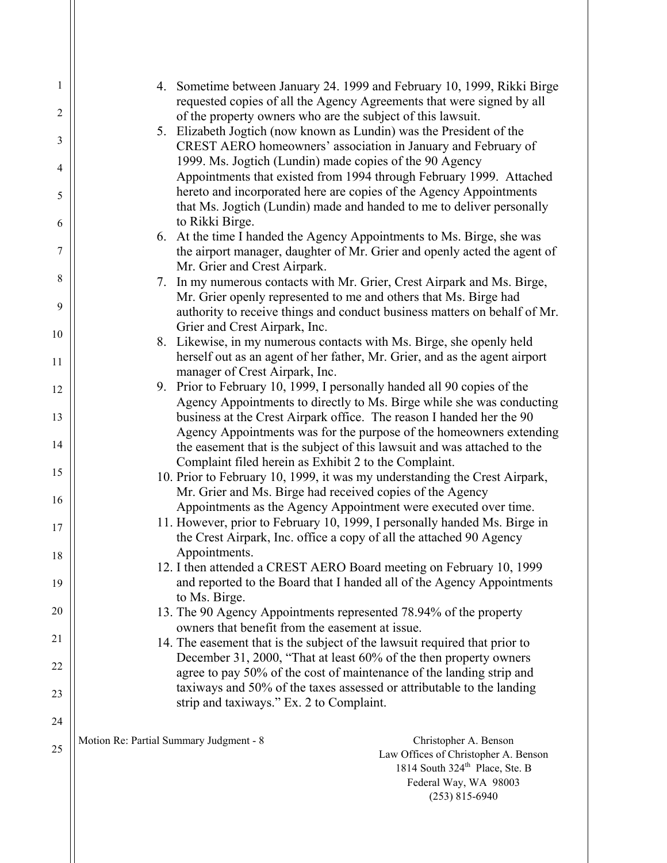| $\mathbf{1}$   | 4. Sometime between January 24. 1999 and February 10, 1999, Rikki Birge                                                                            |
|----------------|----------------------------------------------------------------------------------------------------------------------------------------------------|
| $\overline{2}$ | requested copies of all the Agency Agreements that were signed by all<br>of the property owners who are the subject of this lawsuit.               |
| 3              | 5. Elizabeth Jogtich (now known as Lundin) was the President of the<br>CREST AERO homeowners' association in January and February of               |
| 4              | 1999. Ms. Jogtich (Lundin) made copies of the 90 Agency                                                                                            |
| 5              | Appointments that existed from 1994 through February 1999. Attached<br>hereto and incorporated here are copies of the Agency Appointments          |
|                | that Ms. Jogtich (Lundin) made and handed to me to deliver personally                                                                              |
| 6              | to Rikki Birge.<br>6. At the time I handed the Agency Appointments to Ms. Birge, she was                                                           |
| $\tau$         | the airport manager, daughter of Mr. Grier and openly acted the agent of                                                                           |
|                | Mr. Grier and Crest Airpark.                                                                                                                       |
| 8              | In my numerous contacts with Mr. Grier, Crest Airpark and Ms. Birge,<br>7.                                                                         |
| 9              | Mr. Grier openly represented to me and others that Ms. Birge had                                                                                   |
|                | authority to receive things and conduct business matters on behalf of Mr.                                                                          |
| 10             | Grier and Crest Airpark, Inc.                                                                                                                      |
|                | 8. Likewise, in my numerous contacts with Ms. Birge, she openly held<br>herself out as an agent of her father, Mr. Grier, and as the agent airport |
| 11             | manager of Crest Airpark, Inc.                                                                                                                     |
| 12             | 9. Prior to February 10, 1999, I personally handed all 90 copies of the                                                                            |
|                | Agency Appointments to directly to Ms. Birge while she was conducting                                                                              |
| 13             | business at the Crest Airpark office. The reason I handed her the 90                                                                               |
| 14             | Agency Appointments was for the purpose of the homeowners extending                                                                                |
|                | the easement that is the subject of this lawsuit and was attached to the<br>Complaint filed herein as Exhibit 2 to the Complaint.                  |
| 15             | 10. Prior to February 10, 1999, it was my understanding the Crest Airpark,                                                                         |
|                | Mr. Grier and Ms. Birge had received copies of the Agency                                                                                          |
| 16             | Appointments as the Agency Appointment were executed over time.                                                                                    |
| 17             | 11. However, prior to February 10, 1999, I personally handed Ms. Birge in                                                                          |
|                | the Crest Airpark, Inc. office a copy of all the attached 90 Agency                                                                                |
| $18\,$         | Appointments.                                                                                                                                      |
| 19             | 12. I then attended a CREST AERO Board meeting on February 10, 1999<br>and reported to the Board that I handed all of the Agency Appointments      |
|                | to Ms. Birge.                                                                                                                                      |
| 20             | 13. The 90 Agency Appointments represented 78.94% of the property                                                                                  |
|                | owners that benefit from the easement at issue.                                                                                                    |
| 21             | 14. The easement that is the subject of the lawsuit required that prior to                                                                         |
| 22             | December 31, 2000, "That at least 60% of the then property owners                                                                                  |
|                | agree to pay 50% of the cost of maintenance of the landing strip and<br>taxiways and 50% of the taxes assessed or attributable to the landing      |
| 23             | strip and taxiways." Ex. 2 to Complaint.                                                                                                           |
| 24             |                                                                                                                                                    |
|                | Motion Re: Partial Summary Judgment - 8<br>Christopher A. Benson                                                                                   |
| 25             | Law Offices of Christopher A. Benson<br>1814 South 324 <sup>th</sup> Place, Ste. B                                                                 |
|                | Federal Way, WA 98003                                                                                                                              |

(253) 815-6940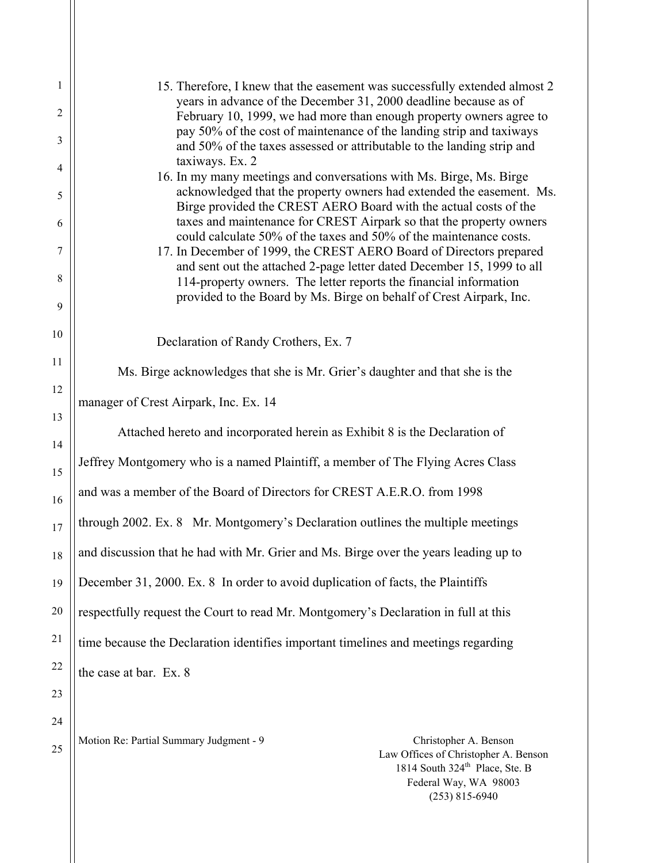| 1        | 15. Therefore, I knew that the easement was successfully extended almost 2<br>years in advance of the December 31, 2000 deadline because as of                                                                  |
|----------|-----------------------------------------------------------------------------------------------------------------------------------------------------------------------------------------------------------------|
| 2        | February 10, 1999, we had more than enough property owners agree to                                                                                                                                             |
| 3        | pay 50% of the cost of maintenance of the landing strip and taxiways<br>and 50% of the taxes assessed or attributable to the landing strip and                                                                  |
| 4        | taxiways. Ex. 2                                                                                                                                                                                                 |
| 5        | 16. In my many meetings and conversations with Ms. Birge, Ms. Birge<br>acknowledged that the property owners had extended the easement. Ms.<br>Birge provided the CREST AERO Board with the actual costs of the |
| 6        | taxes and maintenance for CREST Airpark so that the property owners<br>could calculate 50% of the taxes and 50% of the maintenance costs.                                                                       |
| 7        | 17. In December of 1999, the CREST AERO Board of Directors prepared<br>and sent out the attached 2-page letter dated December 15, 1999 to all                                                                   |
| 8<br>9   | 114-property owners. The letter reports the financial information<br>provided to the Board by Ms. Birge on behalf of Crest Airpark, Inc.                                                                        |
|          |                                                                                                                                                                                                                 |
| 10       | Declaration of Randy Crothers, Ex. 7                                                                                                                                                                            |
| 11       | Ms. Birge acknowledges that she is Mr. Grier's daughter and that she is the                                                                                                                                     |
| 12       |                                                                                                                                                                                                                 |
|          | manager of Crest Airpark, Inc. Ex. 14                                                                                                                                                                           |
| 13<br>14 | Attached hereto and incorporated herein as Exhibit 8 is the Declaration of                                                                                                                                      |
| 15       | Jeffrey Montgomery who is a named Plaintiff, a member of The Flying Acres Class                                                                                                                                 |
| 16       | and was a member of the Board of Directors for CREST A.E.R.O. from 1998                                                                                                                                         |
| 17       | through 2002. Ex. 8 Mr. Montgomery's Declaration outlines the multiple meetings                                                                                                                                 |
| 18       | and discussion that he had with Mr. Grier and Ms. Birge over the years leading up to                                                                                                                            |
| 19       | December 31, 2000. Ex. 8 In order to avoid duplication of facts, the Plaintiffs                                                                                                                                 |
| 20       | respectfully request the Court to read Mr. Montgomery's Declaration in full at this                                                                                                                             |
| 21       | time because the Declaration identifies important timelines and meetings regarding                                                                                                                              |
| 22       | the case at bar. Ex. 8                                                                                                                                                                                          |
| 23       |                                                                                                                                                                                                                 |
| 24       |                                                                                                                                                                                                                 |
| 25       | Motion Re: Partial Summary Judgment - 9<br>Christopher A. Benson<br>Law Offices of Christopher A. Benson                                                                                                        |

1814 South 324<sup>th</sup> Place, Ste. B Federal Way, WA 98003 (253) 815-6940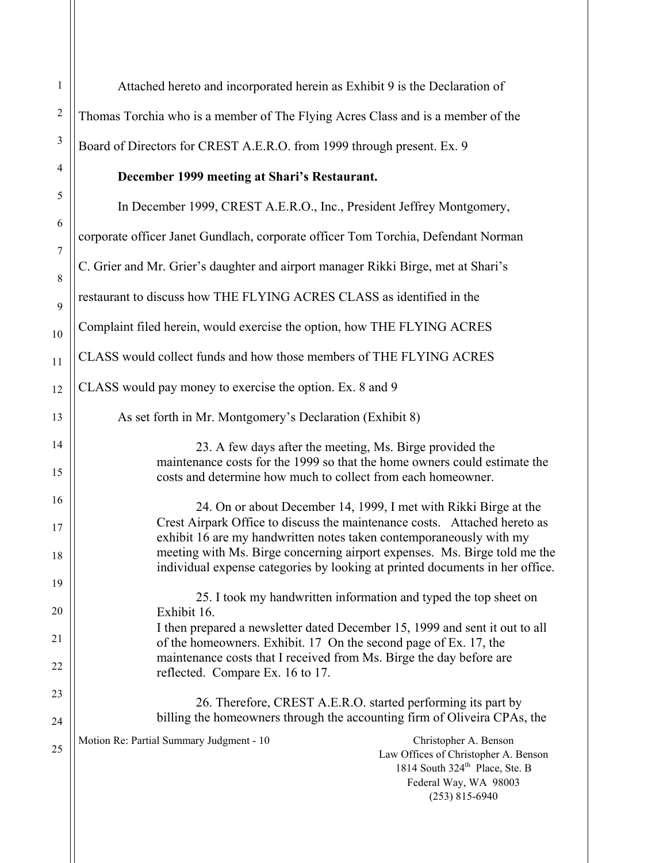| $\mathbf{1}$   | Attached hereto and incorporated herein as Exhibit 9 is the Declaration of                                                                                                                                           |
|----------------|----------------------------------------------------------------------------------------------------------------------------------------------------------------------------------------------------------------------|
| $\overline{2}$ | Thomas Torchia who is a member of The Flying Acres Class and is a member of the                                                                                                                                      |
| $\mathfrak{Z}$ | Board of Directors for CREST A.E.R.O. from 1999 through present. Ex. 9                                                                                                                                               |
| 4              | December 1999 meeting at Shari's Restaurant.                                                                                                                                                                         |
| 5              | In December 1999, CREST A.E.R.O., Inc., President Jeffrey Montgomery,                                                                                                                                                |
| 6<br>$\tau$    | corporate officer Janet Gundlach, corporate officer Tom Torchia, Defendant Norman                                                                                                                                    |
| $\,8\,$        | C. Grier and Mr. Grier's daughter and airport manager Rikki Birge, met at Shari's                                                                                                                                    |
| 9              | restaurant to discuss how THE FLYING ACRES CLASS as identified in the                                                                                                                                                |
| 10             | Complaint filed herein, would exercise the option, how THE FLYING ACRES                                                                                                                                              |
| 11             | CLASS would collect funds and how those members of THE FLYING ACRES                                                                                                                                                  |
| 12             | CLASS would pay money to exercise the option. Ex. 8 and 9                                                                                                                                                            |
| 13             | As set forth in Mr. Montgomery's Declaration (Exhibit 8)                                                                                                                                                             |
| 14<br>15       | 23. A few days after the meeting, Ms. Birge provided the<br>maintenance costs for the 1999 so that the home owners could estimate the<br>costs and determine how much to collect from each homeowner.                |
| 16             |                                                                                                                                                                                                                      |
| 17             | 24. On or about December 14, 1999, I met with Rikki Birge at the<br>Crest Airpark Office to discuss the maintenance costs. Attached hereto as<br>exhibit 16 are my handwritten notes taken contemporaneously with my |
| 18             | meeting with Ms. Birge concerning airport expenses. Ms. Birge told me the<br>individual expense categories by looking at printed documents in her office.                                                            |
| 19             | 25. I took my handwritten information and typed the top sheet on                                                                                                                                                     |
| 20             | Exhibit 16.<br>I then prepared a newsletter dated December 15, 1999 and sent it out to all                                                                                                                           |
| 21             | of the homeowners. Exhibit. 17 On the second page of Ex. 17, the<br>maintenance costs that I received from Ms. Birge the day before are                                                                              |
| 22             | reflected. Compare Ex. 16 to 17.                                                                                                                                                                                     |
| 23<br>24       | 26. Therefore, CREST A.E.R.O. started performing its part by<br>billing the homeowners through the accounting firm of Oliveira CPAs, the                                                                             |
| 25             | Motion Re: Partial Summary Judgment - 10<br>Christopher A. Benson<br>Law Offices of Christopher A. Benson<br>1814 South 324 <sup>th</sup> Place, Ste. B<br>Federal Way, WA 98003<br>$(253)$ 815-6940                 |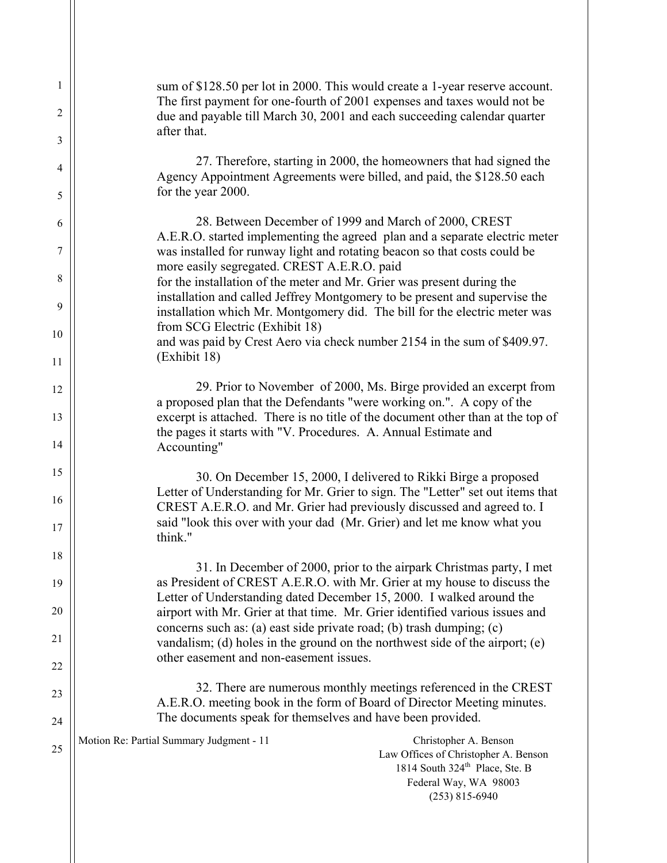| 1      | sum of \$128.50 per lot in 2000. This would create a 1-year reserve account.                                                                                                                         |
|--------|------------------------------------------------------------------------------------------------------------------------------------------------------------------------------------------------------|
| 2      | The first payment for one-fourth of 2001 expenses and taxes would not be<br>due and payable till March 30, 2001 and each succeeding calendar quarter                                                 |
| 3      | after that.                                                                                                                                                                                          |
| 4<br>5 | 27. Therefore, starting in 2000, the homeowners that had signed the<br>Agency Appointment Agreements were billed, and paid, the \$128.50 each<br>for the year 2000.                                  |
|        | 28. Between December of 1999 and March of 2000, CREST                                                                                                                                                |
| 6<br>7 | A.E.R.O. started implementing the agreed plan and a separate electric meter<br>was installed for runway light and rotating beacon so that costs could be                                             |
| 8      | more easily segregated. CREST A.E.R.O. paid<br>for the installation of the meter and Mr. Grier was present during the                                                                                |
| 9      | installation and called Jeffrey Montgomery to be present and supervise the<br>installation which Mr. Montgomery did. The bill for the electric meter was                                             |
| 10     | from SCG Electric (Exhibit 18)                                                                                                                                                                       |
| 11     | and was paid by Crest Aero via check number 2154 in the sum of \$409.97.<br>(Exhibit 18)                                                                                                             |
|        | 29. Prior to November of 2000, Ms. Birge provided an excerpt from                                                                                                                                    |
| 12     | a proposed plan that the Defendants "were working on.". A copy of the                                                                                                                                |
| 13     | excerpt is attached. There is no title of the document other than at the top of<br>the pages it starts with "V. Procedures. A. Annual Estimate and                                                   |
| 14     | Accounting"                                                                                                                                                                                          |
| 15     | 30. On December 15, 2000, I delivered to Rikki Birge a proposed                                                                                                                                      |
| 16     | Letter of Understanding for Mr. Grier to sign. The "Letter" set out items that<br>CREST A.E.R.O. and Mr. Grier had previously discussed and agreed to. I                                             |
| 17     | said "look this over with your dad (Mr. Grier) and let me know what you<br>think."                                                                                                                   |
| 18     | 31. In December of 2000, prior to the airpark Christmas party, I met                                                                                                                                 |
| 19     | as President of CREST A.E.R.O. with Mr. Grier at my house to discuss the<br>Letter of Understanding dated December 15, 2000. I walked around the                                                     |
| 20     | airport with Mr. Grier at that time. Mr. Grier identified various issues and                                                                                                                         |
| 21     | concerns such as: (a) east side private road; (b) trash dumping; (c)<br>vandalism; (d) holes in the ground on the northwest side of the airport; $(e)$                                               |
| 22     | other easement and non-easement issues.                                                                                                                                                              |
| 23     | 32. There are numerous monthly meetings referenced in the CREST<br>A.E.R.O. meeting book in the form of Board of Director Meeting minutes.                                                           |
| 24     | The documents speak for themselves and have been provided.                                                                                                                                           |
| 25     | Motion Re: Partial Summary Judgment - 11<br>Christopher A. Benson<br>Law Offices of Christopher A. Benson<br>1814 South 324 <sup>th</sup> Place, Ste. B<br>Federal Way, WA 98003<br>$(253)$ 815-6940 |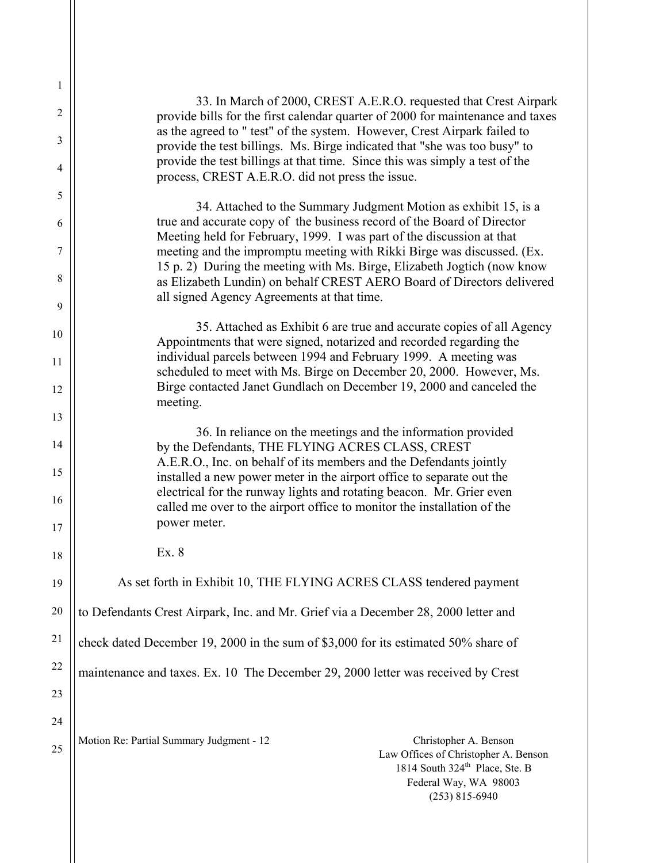| 1<br>2   | 33. In March of 2000, CREST A.E.R.O. requested that Crest Airpark                                                                                                                                                  |
|----------|--------------------------------------------------------------------------------------------------------------------------------------------------------------------------------------------------------------------|
| 3        | provide bills for the first calendar quarter of 2000 for maintenance and taxes<br>as the agreed to " test" of the system. However, Crest Airpark failed to                                                         |
| 4        | provide the test billings. Ms. Birge indicated that "she was too busy" to<br>provide the test billings at that time. Since this was simply a test of the<br>process, CREST A.E.R.O. did not press the issue.       |
| 5        |                                                                                                                                                                                                                    |
| 6        | 34. Attached to the Summary Judgment Motion as exhibit 15, is a<br>true and accurate copy of the business record of the Board of Director<br>Meeting held for February, 1999. I was part of the discussion at that |
| 7        | meeting and the impromptu meeting with Rikki Birge was discussed. (Ex.                                                                                                                                             |
| 8        | 15 p. 2) During the meeting with Ms. Birge, Elizabeth Jogtich (now know<br>as Elizabeth Lundin) on behalf CREST AERO Board of Directors delivered<br>all signed Agency Agreements at that time.                    |
| 9        |                                                                                                                                                                                                                    |
| 10       | 35. Attached as Exhibit 6 are true and accurate copies of all Agency<br>Appointments that were signed, notarized and recorded regarding the                                                                        |
| 11<br>12 | individual parcels between 1994 and February 1999. A meeting was<br>scheduled to meet with Ms. Birge on December 20, 2000. However, Ms.<br>Birge contacted Janet Gundlach on December 19, 2000 and canceled the    |
| 13       | meeting.                                                                                                                                                                                                           |
| 14       | 36. In reliance on the meetings and the information provided<br>by the Defendants, THE FLYING ACRES CLASS, CREST                                                                                                   |
| 15       | A.E.R.O., Inc. on behalf of its members and the Defendants jointly<br>installed a new power meter in the airport office to separate out the                                                                        |
| 16       | electrical for the runway lights and rotating beacon. Mr. Grier even<br>called me over to the airport office to monitor the installation of the                                                                    |
| 17       | power meter.                                                                                                                                                                                                       |
| 18       | Ex. 8                                                                                                                                                                                                              |
| 19       | As set forth in Exhibit 10, THE FLYING ACRES CLASS tendered payment                                                                                                                                                |
| 20       | to Defendants Crest Airpark, Inc. and Mr. Grief via a December 28, 2000 letter and                                                                                                                                 |
| 21       | check dated December 19, 2000 in the sum of \$3,000 for its estimated 50% share of                                                                                                                                 |
| 22       | maintenance and taxes. Ex. 10 The December 29, 2000 letter was received by Crest                                                                                                                                   |
| 23       |                                                                                                                                                                                                                    |
| 24       |                                                                                                                                                                                                                    |
| 25       | Motion Re: Partial Summary Judgment - 12<br>Christopher A. Benson<br>Law Offices of Christopher A. Benson<br>1814 South 324 <sup>th</sup> Place, Ste. B<br>Federal Way, WA 98003<br>$(253)$ 815-6940               |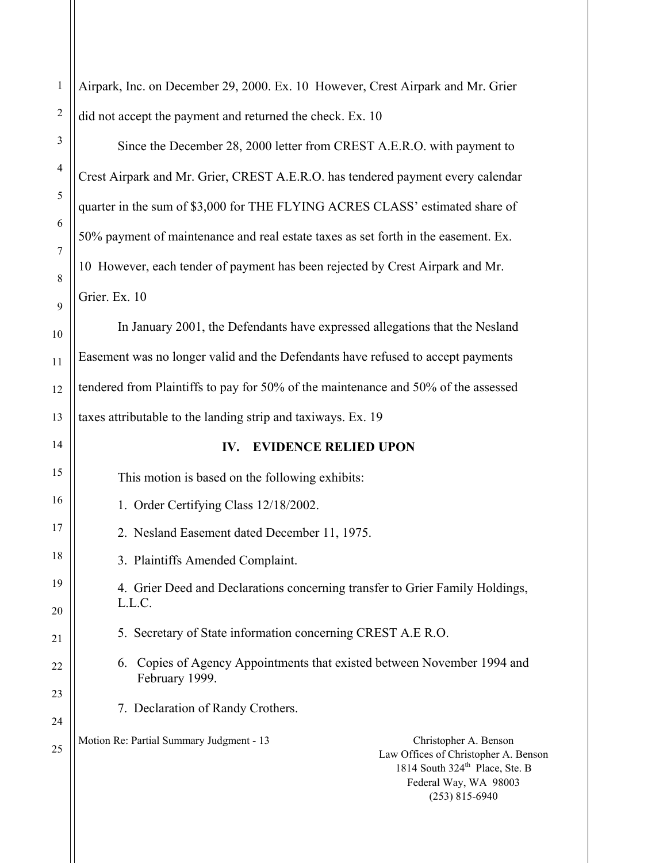| $\mathbf{1}$   | Airpark, Inc. on December 29, 2000. Ex. 10 However, Crest Airpark and Mr. Grier                                                                                                                      |
|----------------|------------------------------------------------------------------------------------------------------------------------------------------------------------------------------------------------------|
| $\overline{2}$ | did not accept the payment and returned the check. Ex. 10                                                                                                                                            |
| 3              | Since the December 28, 2000 letter from CREST A.E.R.O. with payment to                                                                                                                               |
| $\overline{4}$ | Crest Airpark and Mr. Grier, CREST A.E.R.O. has tendered payment every calendar                                                                                                                      |
| 5              | quarter in the sum of \$3,000 for THE FLYING ACRES CLASS' estimated share of                                                                                                                         |
| 6              | 50% payment of maintenance and real estate taxes as set forth in the easement. Ex.                                                                                                                   |
| 7              | 10 However, each tender of payment has been rejected by Crest Airpark and Mr.                                                                                                                        |
| 8<br>9         | Grier. Ex. 10                                                                                                                                                                                        |
| 10             | In January 2001, the Defendants have expressed allegations that the Nesland                                                                                                                          |
| 11             | Easement was no longer valid and the Defendants have refused to accept payments                                                                                                                      |
| 12             | tendered from Plaintiffs to pay for 50% of the maintenance and 50% of the assessed                                                                                                                   |
| 13             | taxes attributable to the landing strip and taxiways. Ex. 19                                                                                                                                         |
| 14             | <b>EVIDENCE RELIED UPON</b><br>IV.                                                                                                                                                                   |
| 15             | This motion is based on the following exhibits:                                                                                                                                                      |
| 16             | 1. Order Certifying Class 12/18/2002.                                                                                                                                                                |
| 17             | 2. Nesland Easement dated December 11, 1975.                                                                                                                                                         |
| 18             | 3. Plaintiffs Amended Complaint.                                                                                                                                                                     |
| 19             | 4. Grier Deed and Declarations concerning transfer to Grier Family Holdings,<br>L.L.C.                                                                                                               |
| 20             | 5. Secretary of State information concerning CREST A.E R.O.                                                                                                                                          |
| 21             | Copies of Agency Appointments that existed between November 1994 and<br>6.                                                                                                                           |
| 22<br>23       | February 1999.                                                                                                                                                                                       |
| 24             | 7. Declaration of Randy Crothers.                                                                                                                                                                    |
| 25             | Motion Re: Partial Summary Judgment - 13<br>Christopher A. Benson<br>Law Offices of Christopher A. Benson<br>1814 South 324 <sup>th</sup> Place, Ste. B<br>Federal Way, WA 98003<br>$(253)$ 815-6940 |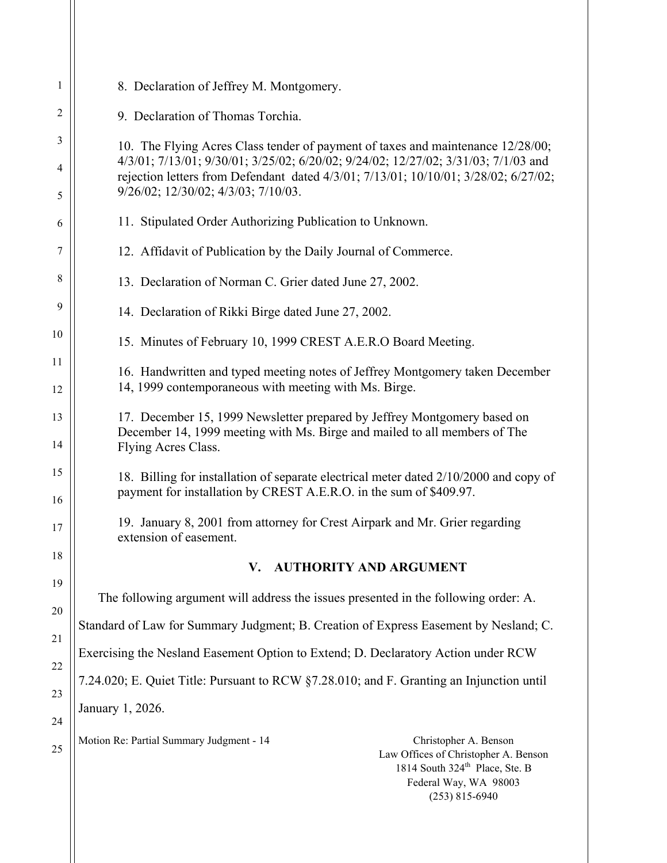| 1        | 8. Declaration of Jeffrey M. Montgomery.                                                                                                                                                             |
|----------|------------------------------------------------------------------------------------------------------------------------------------------------------------------------------------------------------|
| 2        | 9. Declaration of Thomas Torchia.                                                                                                                                                                    |
| 3        | 10. The Flying Acres Class tender of payment of taxes and maintenance 12/28/00;<br>4/3/01; 7/13/01; 9/30/01; 3/25/02; 6/20/02; 9/24/02; 12/27/02; 3/31/03; 7/1/03 and                                |
| 4<br>5   | rejection letters from Defendant dated 4/3/01; 7/13/01; 10/10/01; 3/28/02; 6/27/02;<br>$9/26/02$ ; $12/30/02$ ; $4/3/03$ ; $7/10/03$ .                                                               |
| 6        | 11. Stipulated Order Authorizing Publication to Unknown.                                                                                                                                             |
| 7        | 12. Affidavit of Publication by the Daily Journal of Commerce.                                                                                                                                       |
| 8        | 13. Declaration of Norman C. Grier dated June 27, 2002.                                                                                                                                              |
| 9        | 14. Declaration of Rikki Birge dated June 27, 2002.                                                                                                                                                  |
| 10       | 15. Minutes of February 10, 1999 CREST A.E.R.O Board Meeting.                                                                                                                                        |
| 11<br>12 | 16. Handwritten and typed meeting notes of Jeffrey Montgomery taken December<br>14, 1999 contemporaneous with meeting with Ms. Birge.                                                                |
| 13<br>14 | 17. December 15, 1999 Newsletter prepared by Jeffrey Montgomery based on<br>December 14, 1999 meeting with Ms. Birge and mailed to all members of The<br>Flying Acres Class.                         |
| 15<br>16 | 18. Billing for installation of separate electrical meter dated 2/10/2000 and copy of<br>payment for installation by CREST A.E.R.O. in the sum of \$409.97.                                          |
| 17       | 19. January 8, 2001 from attorney for Crest Airpark and Mr. Grier regarding<br>extension of easement.                                                                                                |
| 18       | V. AUTHORITY AND ARGUMENT                                                                                                                                                                            |
| 19       | The following argument will address the issues presented in the following order: A.                                                                                                                  |
| 20<br>21 | Standard of Law for Summary Judgment; B. Creation of Express Easement by Nesland; C.                                                                                                                 |
| 22       | Exercising the Nesland Easement Option to Extend; D. Declaratory Action under RCW                                                                                                                    |
| 23       | 7.24.020; E. Quiet Title: Pursuant to RCW §7.28.010; and F. Granting an Injunction until                                                                                                             |
| 24       | January 1, 2026.                                                                                                                                                                                     |
| 25       | Motion Re: Partial Summary Judgment - 14<br>Christopher A. Benson<br>Law Offices of Christopher A. Benson<br>1814 South 324 <sup>th</sup> Place, Ste. B<br>Federal Way, WA 98003<br>$(253)$ 815-6940 |
|          |                                                                                                                                                                                                      |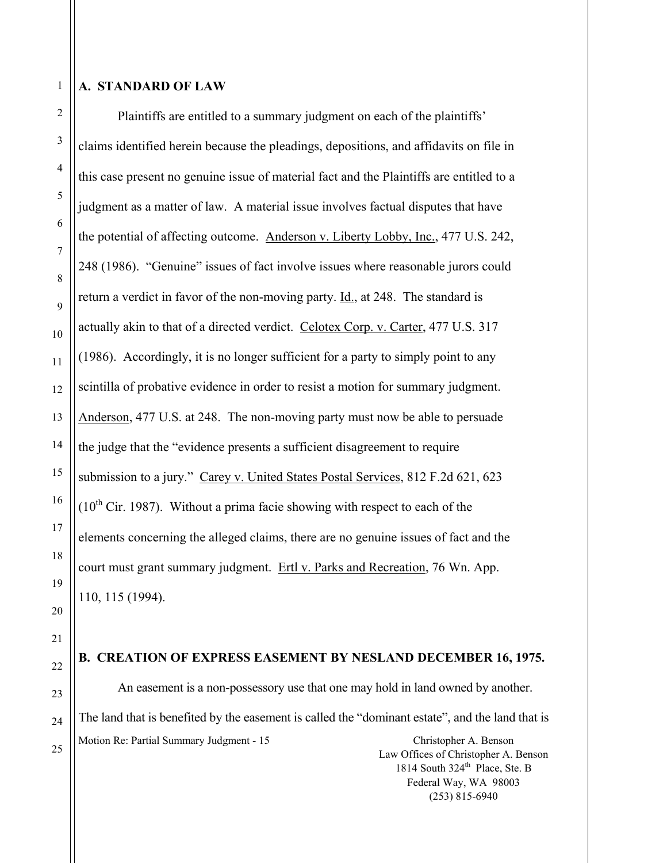1

2

3

4

5

6

7

8

9

10

11

12

13

14

15

16

17

18

19

20

21

22

23

24

25

## **A. STANDARD OF LAW**

 Plaintiffs are entitled to a summary judgment on each of the plaintiffs' claims identified herein because the pleadings, depositions, and affidavits on file in this case present no genuine issue of material fact and the Plaintiffs are entitled to a judgment as a matter of law. A material issue involves factual disputes that have the potential of affecting outcome. Anderson v. Liberty Lobby, Inc., 477 U.S. 242, 248 (1986). "Genuine" issues of fact involve issues where reasonable jurors could return a verdict in favor of the non-moving party. Id., at 248. The standard is actually akin to that of a directed verdict. Celotex Corp. v. Carter, 477 U.S. 317 (1986). Accordingly, it is no longer sufficient for a party to simply point to any scintilla of probative evidence in order to resist a motion for summary judgment. Anderson, 477 U.S. at 248. The non-moving party must now be able to persuade the judge that the "evidence presents a sufficient disagreement to require submission to a jury." Carey v. United States Postal Services, 812 F.2d 621, 623  $(10<sup>th</sup>$  Cir. 1987). Without a prima facie showing with respect to each of the elements concerning the alleged claims, there are no genuine issues of fact and the court must grant summary judgment. Ertl v. Parks and Recreation, 76 Wn. App. 110, 115 (1994).

## **B. CREATION OF EXPRESS EASEMENT BY NESLAND DECEMBER 16, 1975.**

Motion Re: Partial Summary Judgment - 15 Christopher A. Benson An easement is a non-possessory use that one may hold in land owned by another. The land that is benefited by the easement is called the "dominant estate", and the land that is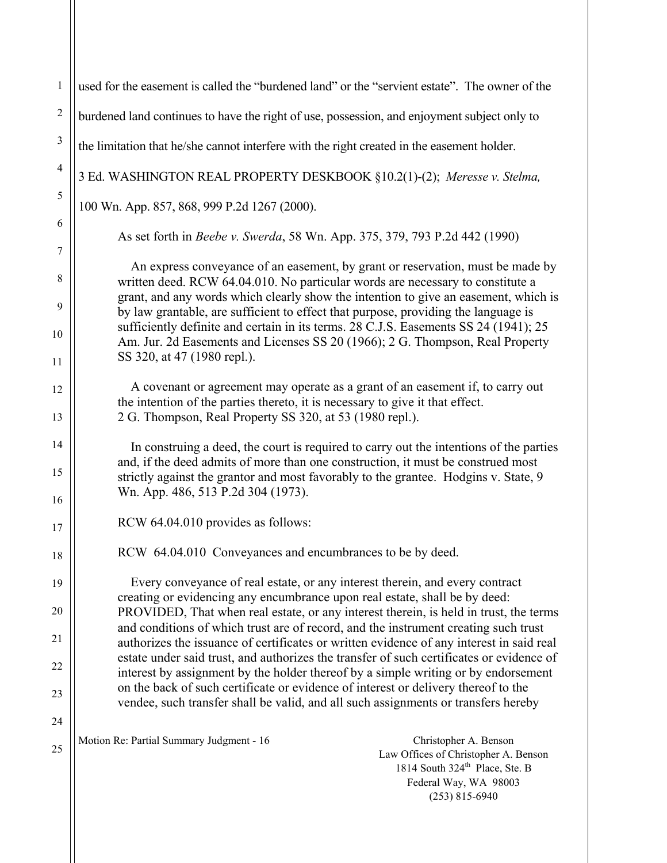| $\mathbf{1}$          | used for the easement is called the "burdened land" or the "servient estate". The owner of the                                                                                                                                                                    |
|-----------------------|-------------------------------------------------------------------------------------------------------------------------------------------------------------------------------------------------------------------------------------------------------------------|
| $\sqrt{2}$            | burdened land continues to have the right of use, possession, and enjoyment subject only to                                                                                                                                                                       |
| $\mathfrak{Z}$        | the limitation that he/she cannot interfere with the right created in the easement holder.                                                                                                                                                                        |
| $\overline{4}$        | 3 Ed. WASHINGTON REAL PROPERTY DESKBOOK §10.2(1)-(2); Meresse v. Stelma,                                                                                                                                                                                          |
| 5                     | 100 Wn. App. 857, 868, 999 P.2d 1267 (2000).                                                                                                                                                                                                                      |
| 6                     | As set forth in <i>Beebe v. Swerda</i> , 58 Wn. App. 375, 379, 793 P.2d 442 (1990)                                                                                                                                                                                |
| $\tau$<br>$\,$ 8 $\,$ | An express conveyance of an easement, by grant or reservation, must be made by<br>written deed. RCW 64.04.010. No particular words are necessary to constitute a<br>grant, and any words which clearly show the intention to give an easement, which is           |
| 9                     | by law grantable, are sufficient to effect that purpose, providing the language is<br>sufficiently definite and certain in its terms. 28 C.J.S. Easements SS 24 (1941); 25                                                                                        |
| 10<br>11              | Am. Jur. 2d Easements and Licenses SS 20 (1966); 2 G. Thompson, Real Property<br>SS 320, at 47 (1980 repl.).                                                                                                                                                      |
| 12                    | A covenant or agreement may operate as a grant of an easement if, to carry out<br>the intention of the parties thereto, it is necessary to give it that effect.                                                                                                   |
| 13                    | 2 G. Thompson, Real Property SS 320, at 53 (1980 repl.).                                                                                                                                                                                                          |
| 14<br>15              | In construing a deed, the court is required to carry out the intentions of the parties<br>and, if the deed admits of more than one construction, it must be construed most<br>strictly against the grantor and most favorably to the grantee. Hodgins v. State, 9 |
| 16                    | Wn. App. 486, 513 P.2d 304 (1973).                                                                                                                                                                                                                                |
| 17                    | RCW 64.04.010 provides as follows:                                                                                                                                                                                                                                |
| 18                    | RCW 64.04.010 Conveyances and encumbrances to be by deed.                                                                                                                                                                                                         |
| 19                    | Every conveyance of real estate, or any interest therein, and every contract<br>creating or evidencing any encumbrance upon real estate, shall be by deed:                                                                                                        |
| 20                    | PROVIDED, That when real estate, or any interest therein, is held in trust, the terms<br>and conditions of which trust are of record, and the instrument creating such trust                                                                                      |
| 21                    | authorizes the issuance of certificates or written evidence of any interest in said real                                                                                                                                                                          |
| 22                    | estate under said trust, and authorizes the transfer of such certificates or evidence of<br>interest by assignment by the holder thereof by a simple writing or by endorsement                                                                                    |
| 23                    | on the back of such certificate or evidence of interest or delivery thereof to the<br>vendee, such transfer shall be valid, and all such assignments or transfers hereby                                                                                          |
| 24                    | Motion Re: Partial Summary Judgment - 16                                                                                                                                                                                                                          |
| 25                    | Christopher A. Benson<br>Law Offices of Christopher A. Benson<br>1814 South 324 <sup>th</sup> Place, Ste. B<br>Federal Way, WA 98003<br>$(253)$ 815-6940                                                                                                          |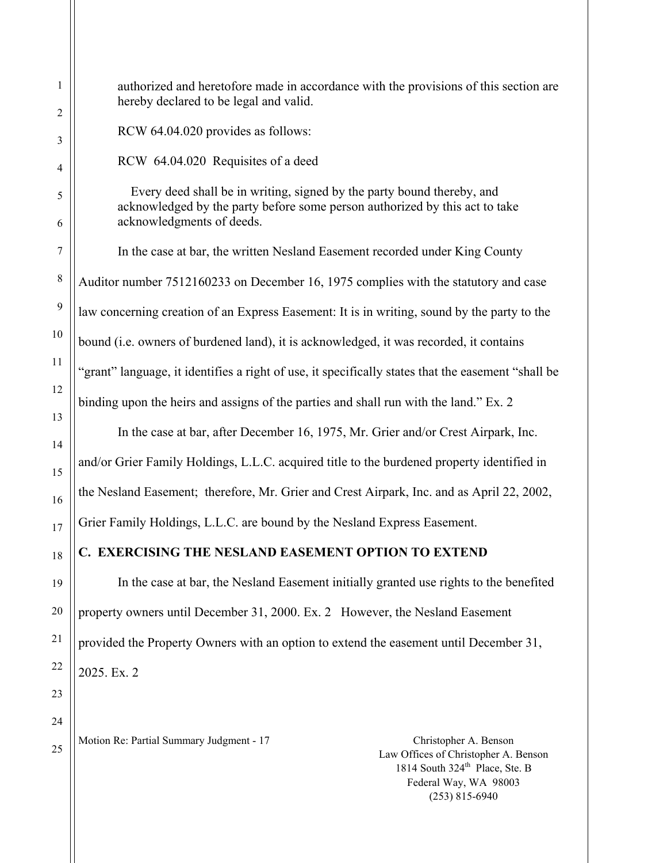authorized and heretofore made in accordance with the provisions of this section are hereby declared to be legal and valid.

RCW 64.04.020 provides as follows:

RCW 64.04.020 Requisites of a deed

 Every deed shall be in writing, signed by the party bound thereby, and acknowledged by the party before some person authorized by this act to take acknowledgments of deeds.

 In the case at bar, the written Nesland Easement recorded under King County Auditor number 7512160233 on December 16, 1975 complies with the statutory and case law concerning creation of an Express Easement: It is in writing, sound by the party to the bound (i.e. owners of burdened land), it is acknowledged, it was recorded, it contains "grant" language, it identifies a right of use, it specifically states that the easement "shall be binding upon the heirs and assigns of the parties and shall run with the land." Ex. 2

In the case at bar, after December 16, 1975, Mr. Grier and/or Crest Airpark, Inc.

and/or Grier Family Holdings, L.L.C. acquired title to the burdened property identified in

the Nesland Easement; therefore, Mr. Grier and Crest Airpark, Inc. and as April 22, 2002,

Grier Family Holdings, L.L.C. are bound by the Nesland Express Easement.

## **C. EXERCISING THE NESLAND EASEMENT OPTION TO EXTEND**

In the case at bar, the Nesland Easement initially granted use rights to the benefited property owners until December 31, 2000. Ex. 2 However, the Nesland Easement provided the Property Owners with an option to extend the easement until December 31, 2025. Ex. 2

Motion Re: Partial Summary Judgment - 17 Christopher A. Benson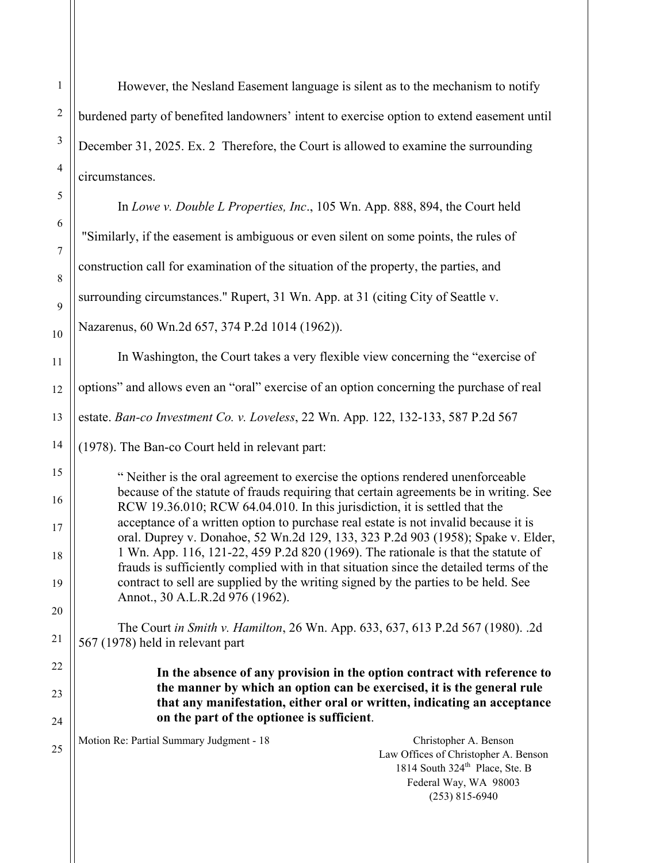However, the Nesland Easement language is silent as to the mechanism to notify burdened party of benefited landowners' intent to exercise option to extend easement until December 31, 2025. Ex. 2 Therefore, the Court is allowed to examine the surrounding circumstances.

In *Lowe v. Double L Properties, Inc*., 105 Wn. App. 888, 894, the Court held "Similarly, if the easement is ambiguous or even silent on some points, the rules of construction call for examination of the situation of the property, the parties, and surrounding circumstances." Rupert, 31 Wn. App. at 31 (citing City of Seattle v. Nazarenus, 60 Wn.2d 657, 374 P.2d 1014 (1962)). In Washington, the Court takes a very flexible view concerning the "exercise of options" and allows even an "oral" exercise of an option concerning the purchase of real estate. *Ban-co Investment Co. v. Loveless*, 22 Wn. App. 122, 132-133, 587 P.2d 567 (1978). The Ban-co Court held in relevant part: " Neither is the oral agreement to exercise the options rendered unenforceable because of the statute of frauds requiring that certain agreements be in writing. See RCW 19.36.010; RCW 64.04.010. In this jurisdiction, it is settled that the acceptance of a written option to purchase real estate is not invalid because it is oral. Duprey v. Donahoe, 52 Wn.2d 129, 133, 323 P.2d 903 (1958); Spake v. Elder, 1 Wn. App. 116, 121-22, 459 P.2d 820 (1969). The rationale is that the statute of frauds is sufficiently complied with in that situation since the detailed terms of the contract to sell are supplied by the writing signed by the parties to be held. See Annot., 30 A.L.R.2d 976 (1962). The Court *in Smith v. Hamilton*, 26 Wn. App. 633, 637, 613 P.2d 567 (1980). .2d

567 (1978) held in relevant part

**In the absence of any provision in the option contract with reference to the manner by which an option can be exercised, it is the general rule that any manifestation, either oral or written, indicating an acceptance on the part of the optionee is sufficient**.

Motion Re: Partial Summary Judgment - 18 Christopher A. Benson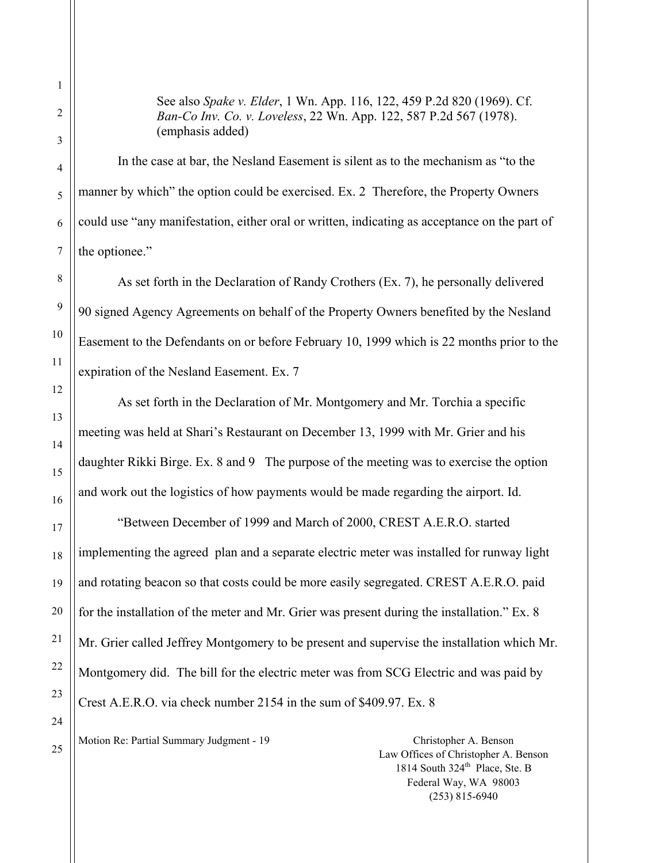See also *Spake v. Elder*, 1 Wn. App. 116, 122, 459 P.2d 820 (1969). Cf. *Ban-Co Inv. Co. v. Loveless*, 22 Wn. App. 122, 587 P.2d 567 (1978). (emphasis added)

 In the case at bar, the Nesland Easement is silent as to the mechanism as "to the manner by which" the option could be exercised. Ex. 2 Therefore, the Property Owners could use "any manifestation, either oral or written, indicating as acceptance on the part of the optionee."

 As set forth in the Declaration of Randy Crothers (Ex. 7), he personally delivered 90 signed Agency Agreements on behalf of the Property Owners benefited by the Nesland Easement to the Defendants on or before February 10, 1999 which is 22 months prior to the expiration of the Nesland Easement. Ex. 7

 As set forth in the Declaration of Mr. Montgomery and Mr. Torchia a specific meeting was held at Shari's Restaurant on December 13, 1999 with Mr. Grier and his daughter Rikki Birge. Ex. 8 and 9 The purpose of the meeting was to exercise the option and work out the logistics of how payments would be made regarding the airport. Id.

 "Between December of 1999 and March of 2000, CREST A.E.R.O. started implementing the agreed plan and a separate electric meter was installed for runway light and rotating beacon so that costs could be more easily segregated. CREST A.E.R.O. paid for the installation of the meter and Mr. Grier was present during the installation." Ex. 8 Mr. Grier called Jeffrey Montgomery to be present and supervise the installation which Mr. Montgomery did. The bill for the electric meter was from SCG Electric and was paid by Crest A.E.R.O. via check number 2154 in the sum of \$409.97. Ex. 8

Motion Re: Partial Summary Judgment - 19 Christopher A. Benson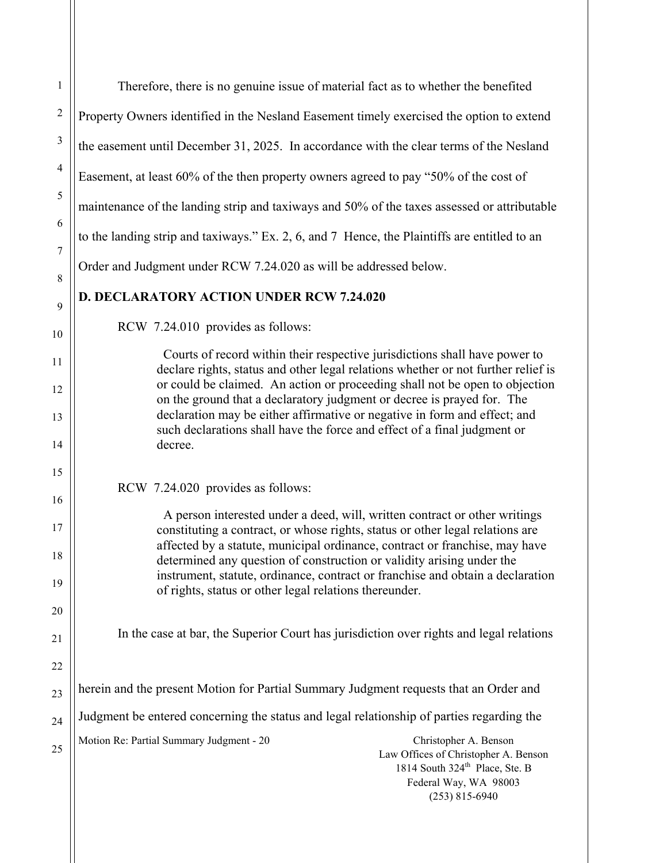| $\mathbf{1}$    | Therefore, there is no genuine issue of material fact as to whether the benefited                                                                                                                    |
|-----------------|------------------------------------------------------------------------------------------------------------------------------------------------------------------------------------------------------|
| $\overline{c}$  | Property Owners identified in the Nesland Easement timely exercised the option to extend                                                                                                             |
| $\mathfrak{Z}$  | the easement until December 31, 2025. In accordance with the clear terms of the Nesland                                                                                                              |
| 4               | Easement, at least 60% of the then property owners agreed to pay "50% of the cost of                                                                                                                 |
| 5               | maintenance of the landing strip and taxiways and 50% of the taxes assessed or attributable                                                                                                          |
| 6               | to the landing strip and taxiways." Ex. 2, 6, and 7 Hence, the Plaintiffs are entitled to an                                                                                                         |
| $\sqrt{ }$<br>8 | Order and Judgment under RCW 7.24.020 as will be addressed below.                                                                                                                                    |
| 9               | <b>D. DECLARATORY ACTION UNDER RCW 7.24.020</b>                                                                                                                                                      |
| 10              | RCW 7.24.010 provides as follows:                                                                                                                                                                    |
| 11              | Courts of record within their respective jurisdictions shall have power to<br>declare rights, status and other legal relations whether or not further relief is                                      |
| 12              | or could be claimed. An action or proceeding shall not be open to objection<br>on the ground that a declaratory judgment or decree is prayed for. The                                                |
| 13              | declaration may be either affirmative or negative in form and effect; and<br>such declarations shall have the force and effect of a final judgment or                                                |
| 14              | decree.                                                                                                                                                                                              |
| 15              | RCW 7.24.020 provides as follows:                                                                                                                                                                    |
| 16<br>17        | A person interested under a deed, will, written contract or other writings                                                                                                                           |
| 18              | constituting a contract, or whose rights, status or other legal relations are<br>affected by a statute, municipal ordinance, contract or franchise, may have                                         |
| 19              | determined any question of construction or validity arising under the<br>instrument, statute, ordinance, contract or franchise and obtain a declaration                                              |
| 20              | of rights, status or other legal relations thereunder.                                                                                                                                               |
| 21              | In the case at bar, the Superior Court has jurisdiction over rights and legal relations                                                                                                              |
| 22              |                                                                                                                                                                                                      |
| 23              | herein and the present Motion for Partial Summary Judgment requests that an Order and                                                                                                                |
| 24              | Judgment be entered concerning the status and legal relationship of parties regarding the                                                                                                            |
| 25              | Motion Re: Partial Summary Judgment - 20<br>Christopher A. Benson<br>Law Offices of Christopher A. Benson<br>1814 South 324 <sup>th</sup> Place, Ste. B<br>Federal Way, WA 98003<br>$(253)$ 815-6940 |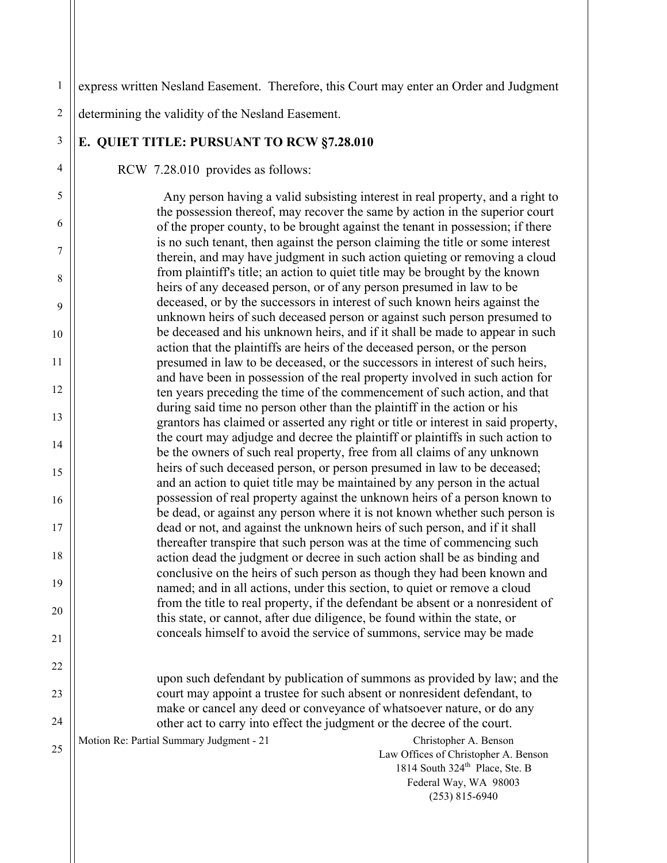Motion Re: Partial Summary Judgment - 21 Christopher A. Benson Law Offices of Christopher A. Benson 1814 South  $324<sup>th</sup>$  Place, Ste. B Federal Way, WA 98003 (253) 815-6940 1 2 3 4 5 6 7 8 9 10 11 12 13 14 15 16 17 18 19 20 21 22 23 24 25 express written Nesland Easement. Therefore, this Court may enter an Order and Judgment determining the validity of the Nesland Easement. **E. QUIET TITLE: PURSUANT TO RCW §7.28.010**  RCW 7.28.010 provides as follows: Any person having a valid subsisting interest in real property, and a right to the possession thereof, may recover the same by action in the superior court of the proper county, to be brought against the tenant in possession; if there is no such tenant, then against the person claiming the title or some interest therein, and may have judgment in such action quieting or removing a cloud from plaintiff's title; an action to quiet title may be brought by the known heirs of any deceased person, or of any person presumed in law to be deceased, or by the successors in interest of such known heirs against the unknown heirs of such deceased person or against such person presumed to be deceased and his unknown heirs, and if it shall be made to appear in such action that the plaintiffs are heirs of the deceased person, or the person presumed in law to be deceased, or the successors in interest of such heirs, and have been in possession of the real property involved in such action for ten years preceding the time of the commencement of such action, and that during said time no person other than the plaintiff in the action or his grantors has claimed or asserted any right or title or interest in said property, the court may adjudge and decree the plaintiff or plaintiffs in such action to be the owners of such real property, free from all claims of any unknown heirs of such deceased person, or person presumed in law to be deceased; and an action to quiet title may be maintained by any person in the actual possession of real property against the unknown heirs of a person known to be dead, or against any person where it is not known whether such person is dead or not, and against the unknown heirs of such person, and if it shall thereafter transpire that such person was at the time of commencing such action dead the judgment or decree in such action shall be as binding and conclusive on the heirs of such person as though they had been known and named; and in all actions, under this section, to quiet or remove a cloud from the title to real property, if the defendant be absent or a nonresident of this state, or cannot, after due diligence, be found within the state, or conceals himself to avoid the service of summons, service may be made upon such defendant by publication of summons as provided by law; and the court may appoint a trustee for such absent or nonresident defendant, to make or cancel any deed or conveyance of whatsoever nature, or do any other act to carry into effect the judgment or the decree of the court.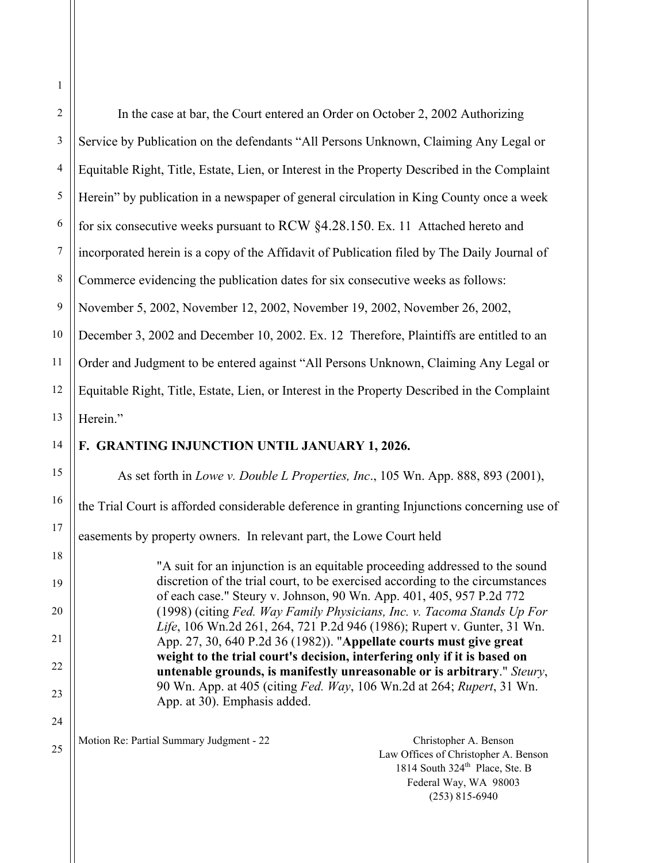| 1              |                                                                                                                                                                                                      |
|----------------|------------------------------------------------------------------------------------------------------------------------------------------------------------------------------------------------------|
| $\overline{2}$ | In the case at bar, the Court entered an Order on October 2, 2002 Authorizing                                                                                                                        |
| $\mathfrak{Z}$ | Service by Publication on the defendants "All Persons Unknown, Claiming Any Legal or                                                                                                                 |
| 4              | Equitable Right, Title, Estate, Lien, or Interest in the Property Described in the Complaint                                                                                                         |
| 5              | Herein" by publication in a newspaper of general circulation in King County once a week                                                                                                              |
| 6              | for six consecutive weeks pursuant to RCW §4.28.150. Ex. 11 Attached hereto and                                                                                                                      |
| $\tau$         | incorporated herein is a copy of the Affidavit of Publication filed by The Daily Journal of                                                                                                          |
| $\,8\,$        | Commerce evidencing the publication dates for six consecutive weeks as follows:                                                                                                                      |
| $\mathbf{9}$   | November 5, 2002, November 12, 2002, November 19, 2002, November 26, 2002,                                                                                                                           |
| 10             | December 3, 2002 and December 10, 2002. Ex. 12 Therefore, Plaintiffs are entitled to an                                                                                                              |
| 11             | Order and Judgment to be entered against "All Persons Unknown, Claiming Any Legal or                                                                                                                 |
| 12             | Equitable Right, Title, Estate, Lien, or Interest in the Property Described in the Complaint                                                                                                         |
| 13             | Herein."                                                                                                                                                                                             |
| 14             | F. GRANTING INJUNCTION UNTIL JANUARY 1, 2026.                                                                                                                                                        |
| 15             | As set forth in Lowe v. Double L Properties, Inc., 105 Wn. App. 888, 893 (2001),                                                                                                                     |
| 16             | the Trial Court is afforded considerable deference in granting Injunctions concerning use of                                                                                                         |
| 17             | easements by property owners. In relevant part, the Lowe Court held                                                                                                                                  |
| 18             | "A suit for an injunction is an equitable proceeding addressed to the sound                                                                                                                          |
| 19             | discretion of the trial court, to be exercised according to the circumstances<br>of each case." Steury v. Johnson, 90 Wn. App. 401, 405, 957 P.2d 772                                                |
| 20             | (1998) (citing Fed. Way Family Physicians, Inc. v. Tacoma Stands Up For<br>Life, 106 Wn.2d 261, 264, 721 P.2d 946 (1986); Rupert v. Gunter, 31 Wn.                                                   |
| 21             | App. 27, 30, 640 P.2d 36 (1982)). "Appellate courts must give great                                                                                                                                  |
| 22             | weight to the trial court's decision, interfering only if it is based on<br>untenable grounds, is manifestly unreasonable or is arbitrary." Steury,                                                  |
| 23             | 90 Wn. App. at 405 (citing Fed. Way, 106 Wn.2d at 264; Rupert, 31 Wn.<br>App. at 30). Emphasis added.                                                                                                |
| 24             |                                                                                                                                                                                                      |
| 25             | Motion Re: Partial Summary Judgment - 22<br>Christopher A. Benson<br>Law Offices of Christopher A. Benson<br>1814 South 324 <sup>th</sup> Place, Ste. B<br>Federal Way, WA 98003<br>$(253)$ 815-6940 |
|                |                                                                                                                                                                                                      |

1